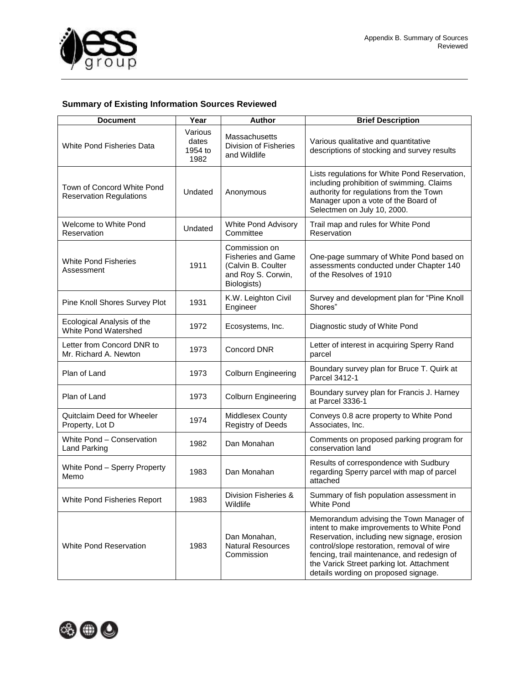

## **Summary of Existing Information Sources Reviewed**

| <b>Document</b>                                              | Year                                | <b>Author</b>                                                                                         | <b>Brief Description</b>                                                                                                                                                                                                                                                                                              |
|--------------------------------------------------------------|-------------------------------------|-------------------------------------------------------------------------------------------------------|-----------------------------------------------------------------------------------------------------------------------------------------------------------------------------------------------------------------------------------------------------------------------------------------------------------------------|
| <b>White Pond Fisheries Data</b>                             | Various<br>dates<br>1954 to<br>1982 | Massachusetts<br>Division of Fisheries<br>and Wildlife                                                | Various qualitative and quantitative<br>descriptions of stocking and survey results                                                                                                                                                                                                                                   |
| Town of Concord White Pond<br><b>Reservation Regulations</b> | Undated                             | Anonymous                                                                                             | Lists regulations for White Pond Reservation,<br>including prohibition of swimming. Claims<br>authority for regulations from the Town<br>Manager upon a vote of the Board of<br>Selectmen on July 10, 2000.                                                                                                           |
| Welcome to White Pond<br>Reservation                         | Undated                             | White Pond Advisory<br>Committee                                                                      | Trail map and rules for White Pond<br>Reservation                                                                                                                                                                                                                                                                     |
| <b>White Pond Fisheries</b><br>Assessment                    | 1911                                | Commission on<br><b>Fisheries and Game</b><br>(Calvin B. Coulter<br>and Roy S. Corwin,<br>Biologists) | One-page summary of White Pond based on<br>assessments conducted under Chapter 140<br>of the Resolves of 1910                                                                                                                                                                                                         |
| Pine Knoll Shores Survey Plot                                | 1931                                | K.W. Leighton Civil<br>Engineer                                                                       | Survey and development plan for "Pine Knoll<br>Shores"                                                                                                                                                                                                                                                                |
| Ecological Analysis of the<br>White Pond Watershed           | 1972                                | Ecosystems, Inc.                                                                                      | Diagnostic study of White Pond                                                                                                                                                                                                                                                                                        |
| Letter from Concord DNR to<br>Mr. Richard A. Newton          | 1973                                | Concord DNR                                                                                           | Letter of interest in acquiring Sperry Rand<br>parcel                                                                                                                                                                                                                                                                 |
| Plan of Land                                                 | 1973                                | <b>Colburn Engineering</b>                                                                            | Boundary survey plan for Bruce T. Quirk at<br>Parcel 3412-1                                                                                                                                                                                                                                                           |
| Plan of Land                                                 | 1973                                | Colburn Engineering                                                                                   | Boundary survey plan for Francis J. Harney<br>at Parcel 3336-1                                                                                                                                                                                                                                                        |
| Quitclaim Deed for Wheeler<br>Property, Lot D                | 1974                                | Middlesex County<br><b>Registry of Deeds</b>                                                          | Conveys 0.8 acre property to White Pond<br>Associates, Inc.                                                                                                                                                                                                                                                           |
| White Pond - Conservation<br>Land Parking                    | 1982                                | Dan Monahan                                                                                           | Comments on proposed parking program for<br>conservation land                                                                                                                                                                                                                                                         |
| White Pond - Sperry Property<br>Memo                         | 1983                                | Dan Monahan                                                                                           | Results of correspondence with Sudbury<br>regarding Sperry parcel with map of parcel<br>attached                                                                                                                                                                                                                      |
| White Pond Fisheries Report                                  | 1983                                | Division Fisheries &<br>Wildlife                                                                      | Summary of fish population assessment in<br>White Pond                                                                                                                                                                                                                                                                |
| White Pond Reservation                                       | 1983                                | Dan Monahan,<br><b>Natural Resources</b><br>Commission                                                | Memorandum advising the Town Manager of<br>intent to make improvements to White Pond<br>Reservation, including new signage, erosion<br>control/slope restoration, removal of wire<br>fencing, trail maintenance, and redesign of<br>the Varick Street parking lot. Attachment<br>details wording on proposed signage. |

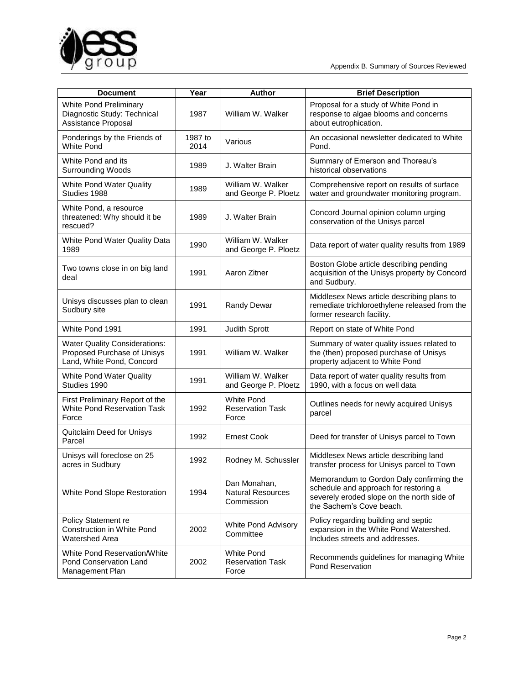

| <b>Document</b>                                                                                  | Year            | <b>Author</b>                                          | <b>Brief Description</b>                                                                                                                                    |
|--------------------------------------------------------------------------------------------------|-----------------|--------------------------------------------------------|-------------------------------------------------------------------------------------------------------------------------------------------------------------|
| <b>White Pond Preliminary</b><br>Diagnostic Study: Technical<br>Assistance Proposal              | 1987            | William W. Walker                                      | Proposal for a study of White Pond in<br>response to algae blooms and concerns<br>about eutrophication.                                                     |
| Ponderings by the Friends of<br><b>White Pond</b>                                                | 1987 to<br>2014 | Various                                                | An occasional newsletter dedicated to White<br>Pond.                                                                                                        |
| White Pond and its<br><b>Surrounding Woods</b>                                                   | 1989            | J. Walter Brain                                        | Summary of Emerson and Thoreau's<br>historical observations                                                                                                 |
| White Pond Water Quality<br>Studies 1988                                                         | 1989            | William W. Walker<br>and George P. Ploetz              | Comprehensive report on results of surface<br>water and groundwater monitoring program.                                                                     |
| White Pond, a resource<br>threatened: Why should it be<br>rescued?                               | 1989            | J. Walter Brain                                        | Concord Journal opinion column urging<br>conservation of the Unisys parcel                                                                                  |
| White Pond Water Quality Data<br>1989                                                            | 1990            | William W. Walker<br>and George P. Ploetz              | Data report of water quality results from 1989                                                                                                              |
| Two towns close in on big land<br>deal                                                           | 1991            | Aaron Zitner                                           | Boston Globe article describing pending<br>acquisition of the Unisys property by Concord<br>and Sudbury.                                                    |
| Unisys discusses plan to clean<br>Sudbury site                                                   | 1991            | <b>Randy Dewar</b>                                     | Middlesex News article describing plans to<br>remediate trichloroethylene released from the<br>former research facility.                                    |
| White Pond 1991                                                                                  | 1991            | Judith Sprott                                          | Report on state of White Pond                                                                                                                               |
| <b>Water Quality Considerations:</b><br>Proposed Purchase of Unisys<br>Land, White Pond, Concord | 1991            | William W. Walker                                      | Summary of water quality issues related to<br>the (then) proposed purchase of Unisys<br>property adjacent to White Pond                                     |
| White Pond Water Quality<br>Studies 1990                                                         | 1991            | William W. Walker<br>and George P. Ploetz              | Data report of water quality results from<br>1990, with a focus on well data                                                                                |
| First Preliminary Report of the<br>White Pond Reservation Task<br>Force                          | 1992            | White Pond<br><b>Reservation Task</b><br>Force         | Outlines needs for newly acquired Unisys<br>parcel                                                                                                          |
| Quitclaim Deed for Unisys<br>Parcel                                                              | 1992            | <b>Ernest Cook</b>                                     | Deed for transfer of Unisys parcel to Town                                                                                                                  |
| Unisys will foreclose on 25<br>acres in Sudbury                                                  | 1992            | Rodney M. Schussler                                    | Middlesex News article describing land<br>transfer process for Unisys parcel to Town                                                                        |
| White Pond Slope Restoration                                                                     | 1994            | Dan Monahan,<br><b>Natural Resources</b><br>Commission | Memorandum to Gordon Daly confirming the<br>schedule and approach for restoring a<br>severely eroded slope on the north side of<br>the Sachem's Cove beach. |
| Policy Statement re<br>Construction in White Pond<br>Watershed Area                              | 2002            | White Pond Advisory<br>Committee                       | Policy regarding building and septic<br>expansion in the White Pond Watershed.<br>Includes streets and addresses.                                           |
| White Pond Reservation/White<br>Pond Conservation Land<br>Management Plan                        | 2002            | <b>White Pond</b><br><b>Reservation Task</b><br>Force  | Recommends guidelines for managing White<br>Pond Reservation                                                                                                |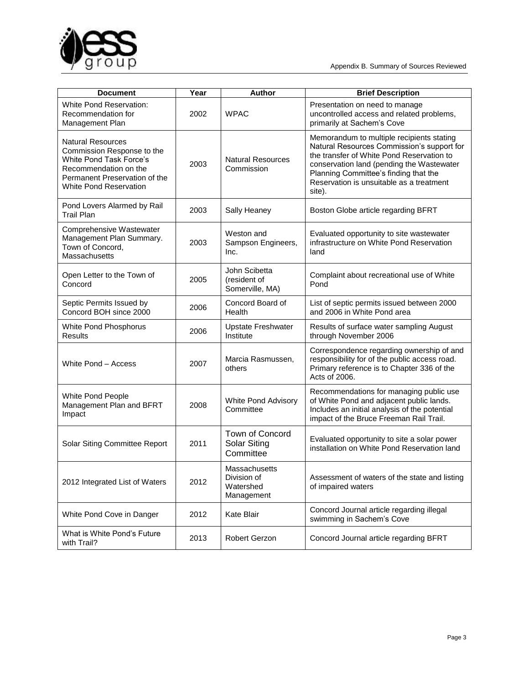

| <b>Document</b>                                                                                                                                                              | Year | <b>Author</b>                                           | <b>Brief Description</b>                                                                                                                                                                                                                                                         |
|------------------------------------------------------------------------------------------------------------------------------------------------------------------------------|------|---------------------------------------------------------|----------------------------------------------------------------------------------------------------------------------------------------------------------------------------------------------------------------------------------------------------------------------------------|
| <b>White Pond Reservation:</b><br>Recommendation for<br>Management Plan                                                                                                      | 2002 | <b>WPAC</b>                                             | Presentation on need to manage<br>uncontrolled access and related problems,<br>primarily at Sachem's Cove                                                                                                                                                                        |
| <b>Natural Resources</b><br>Commission Response to the<br>White Pond Task Force's<br>Recommendation on the<br>Permanent Preservation of the<br><b>White Pond Reservation</b> | 2003 | <b>Natural Resources</b><br>Commission                  | Memorandum to multiple recipients stating<br>Natural Resources Commission's support for<br>the transfer of White Pond Reservation to<br>conservation land (pending the Wastewater<br>Planning Committee's finding that the<br>Reservation is unsuitable as a treatment<br>site). |
| Pond Lovers Alarmed by Rail<br><b>Trail Plan</b>                                                                                                                             | 2003 | Sally Heaney                                            | Boston Globe article regarding BFRT                                                                                                                                                                                                                                              |
| Comprehensive Wastewater<br>Management Plan Summary.<br>Town of Concord,<br>Massachusetts                                                                                    | 2003 | Weston and<br>Sampson Engineers,<br>Inc.                | Evaluated opportunity to site wastewater<br>infrastructure on White Pond Reservation<br>land                                                                                                                                                                                     |
| Open Letter to the Town of<br>Concord                                                                                                                                        | 2005 | John Scibetta<br>(resident of<br>Somerville, MA)        | Complaint about recreational use of White<br>Pond                                                                                                                                                                                                                                |
| Septic Permits Issued by<br>Concord BOH since 2000                                                                                                                           | 2006 | Concord Board of<br>Health                              | List of septic permits issued between 2000<br>and 2006 in White Pond area                                                                                                                                                                                                        |
| White Pond Phosphorus<br><b>Results</b>                                                                                                                                      | 2006 | <b>Upstate Freshwater</b><br>Institute                  | Results of surface water sampling August<br>through November 2006                                                                                                                                                                                                                |
| White Pond - Access                                                                                                                                                          | 2007 | Marcia Rasmussen,<br>others                             | Correspondence regarding ownership of and<br>responsibility for of the public access road.<br>Primary reference is to Chapter 336 of the<br>Acts of 2006.                                                                                                                        |
| White Pond People<br>Management Plan and BFRT<br>Impact                                                                                                                      | 2008 | <b>White Pond Advisory</b><br>Committee                 | Recommendations for managing public use<br>of White Pond and adjacent public lands.<br>Includes an initial analysis of the potential<br>impact of the Bruce Freeman Rail Trail.                                                                                                  |
| Solar Siting Committee Report                                                                                                                                                | 2011 | Town of Concord<br>Solar Siting<br>Committee            | Evaluated opportunity to site a solar power<br>installation on White Pond Reservation land                                                                                                                                                                                       |
| 2012 Integrated List of Waters                                                                                                                                               | 2012 | Massachusetts<br>Division of<br>Watershed<br>Management | Assessment of waters of the state and listing<br>of impaired waters                                                                                                                                                                                                              |
| White Pond Cove in Danger                                                                                                                                                    | 2012 | Kate Blair                                              | Concord Journal article regarding illegal<br>swimming in Sachem's Cove                                                                                                                                                                                                           |
| What is White Pond's Future<br>with Trail?                                                                                                                                   | 2013 | Robert Gerzon                                           | Concord Journal article regarding BFRT                                                                                                                                                                                                                                           |